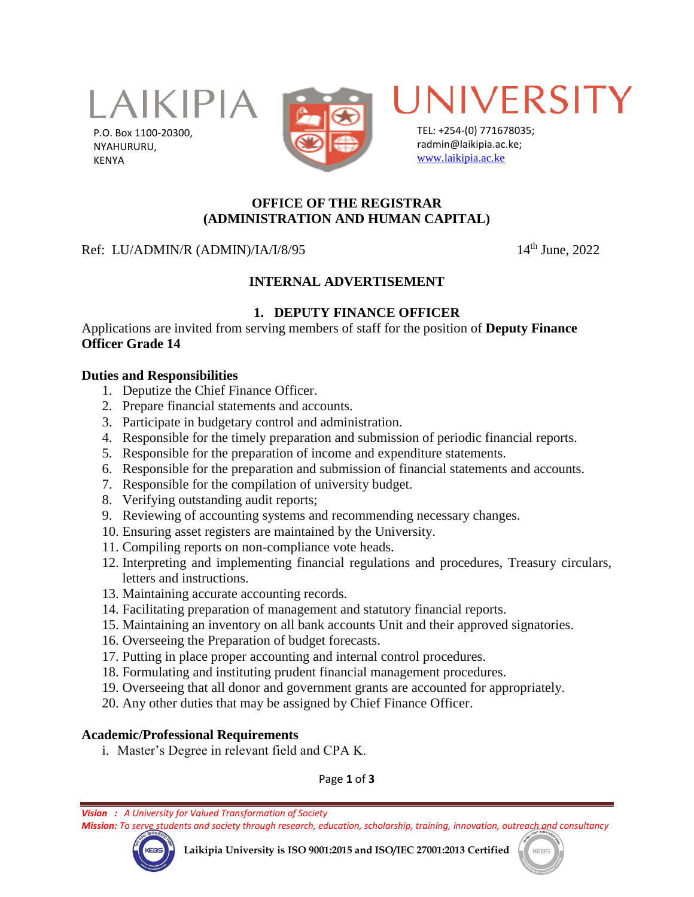

P.O. Box 1100-20300, NYAHURURU, KENYA





TEL: +254-(0) 771678035; radmin@laikipia.ac.ke; [www.laikipia.ac.ke](http://www.laikipia.ac.ke/)

# **OFFICE OF THE REGISTRAR (ADMINISTRATION AND HUMAN CAPITAL)**

### Ref: LU/ADMIN/R (ADMIN)/IA/I/8/95 14<sup>th</sup> June, 2022

# **INTERNAL ADVERTISEMENT**

# **1. DEPUTY FINANCE OFFICER**

Applications are invited from serving members of staff for the position of **Deputy Finance Officer Grade 14**

#### **Duties and Responsibilities**

- 1. Deputize the Chief Finance Officer.
- 2. Prepare financial statements and accounts.
- 3. Participate in budgetary control and administration.
- 4. Responsible for the timely preparation and submission of periodic financial reports.
- 5. Responsible for the preparation of income and expenditure statements.
- 6. Responsible for the preparation and submission of financial statements and accounts.
- 7. Responsible for the compilation of university budget.
- 8. Verifying outstanding audit reports;
- 9. Reviewing of accounting systems and recommending necessary changes.
- 10. Ensuring asset registers are maintained by the University.
- 11. Compiling reports on non-compliance vote heads.
- 12. Interpreting and implementing financial regulations and procedures, Treasury circulars, letters and instructions.
- 13. Maintaining accurate accounting records.
- 14. Facilitating preparation of management and statutory financial reports.
- 15. Maintaining an inventory on all bank accounts Unit and their approved signatories.
- 16. Overseeing the Preparation of budget forecasts.
- 17. Putting in place proper accounting and internal control procedures.
- 18. Formulating and instituting prudent financial management procedures.
- 19. Overseeing that all donor and government grants are accounted for appropriately.
- 20. Any other duties that may be assigned by Chief Finance Officer.

### **Academic/Professional Requirements**

i. Master's Degree in relevant field and CPA K.

Page **1** of **3**

*Vision : A University for Valued Transformation of Society*

*Mission: To serve students and society through research, education, scholarship, training, innovation, outreach and consultancy*



**Laikipia University is ISO 9001:2015 and ISO/IEC 27001:2013 Certified**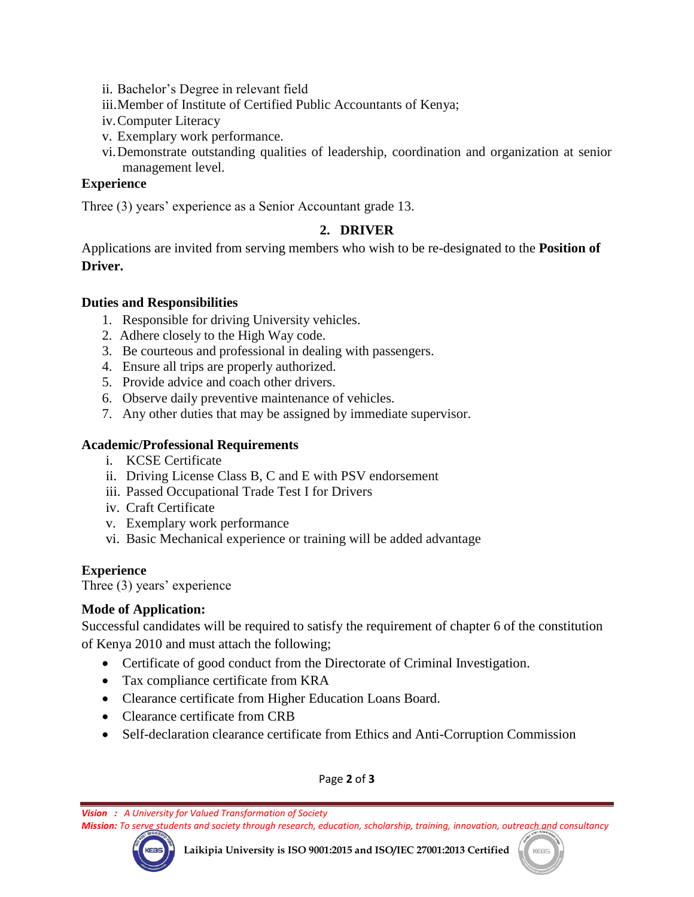- ii. Bachelor's Degree in relevant field
- iii.Member of Institute of Certified Public Accountants of Kenya;
- iv.Computer Literacy
- v. Exemplary work performance.
- vi.Demonstrate outstanding qualities of leadership, coordination and organization at senior management level.

### **Experience**

Three (3) years' experience as a Senior Accountant grade 13.

# **2. DRIVER**

Applications are invited from serving members who wish to be re-designated to the **Position of Driver.**

### **Duties and Responsibilities**

- 1. Responsible for driving University vehicles.
- 2. Adhere closely to the High Way code.
- 3. Be courteous and professional in dealing with passengers.
- 4. Ensure all trips are properly authorized.
- 5. Provide advice and coach other drivers.
- 6. Observe daily preventive maintenance of vehicles.
- 7. Any other duties that may be assigned by immediate supervisor.

### **Academic/Professional Requirements**

- i. KCSE Certificate
- ii. Driving License Class B, C and E with PSV endorsement
- iii. Passed Occupational Trade Test I for Drivers
- iv. Craft Certificate
- v. Exemplary work performance
- vi. Basic Mechanical experience or training will be added advantage

### **Experience**

Three (3) years' experience

### **Mode of Application:**

Successful candidates will be required to satisfy the requirement of chapter 6 of the constitution of Kenya 2010 and must attach the following;

- Certificate of good conduct from the Directorate of Criminal Investigation.
- Tax compliance certificate from KRA
- Clearance certificate from Higher Education Loans Board.
- Clearance certificate from CRB
- Self-declaration clearance certificate from Ethics and Anti-Corruption Commission

Page **2** of **3**

*Vision : A University for Valued Transformation of Society*

*Mission: To serve students and society through research, education, scholarship, training, innovation, outreach and consultancy*